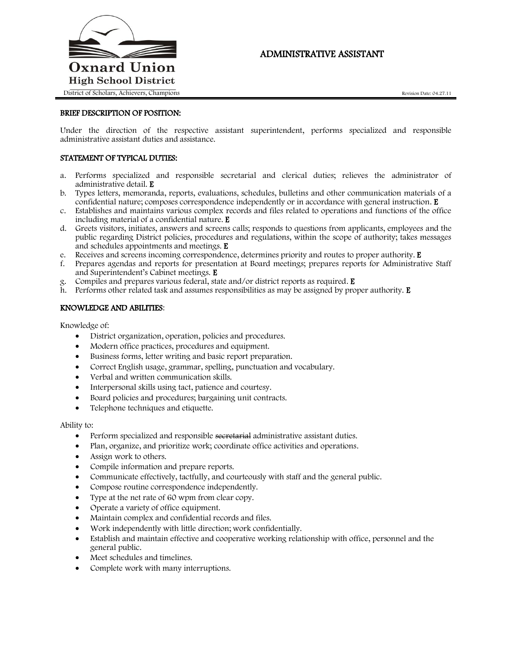

# ADMINISTRATIVE ASSISTANT

## BRIEF DESCRIPTION OF POSITION:

Under the direction of the respective assistant superintendent, performs specialized and responsible administrative assistant duties and assistance.

# STATEMENT OF TYPICAL DUTIES:

- a. Performs specialized and responsible secretarial and clerical duties; relieves the administrator of administrative detail. E
- b. Types letters, memoranda, reports, evaluations, schedules, bulletins and other communication materials of a confidential nature; composes correspondence independently or in accordance with general instruction. E
- c. Establishes and maintains various complex records and files related to operations and functions of the office including material of a confidential nature. E
- d. Greets visitors, initiates, answers and screens calls; responds to questions from applicants, employees and the public regarding District policies, procedures and regulations, within the scope of authority; takes messages and schedules appointments and meetings. E
- e. Receives and screens incoming correspondence, determines priority and routes to proper authority. E
- f. Prepares agendas and reports for presentation at Board meetings; prepares reports for Administrative Staff and Superintendent's Cabinet meetings. E
- g. Compiles and prepares various federal, state and/or district reports as required. E
- h. Performs other related task and assumes responsibilities as may be assigned by proper authority. E

# KNOWLEDGE AND ABILITIES:

Knowledge of:

- District organization, operation, policies and procedures.
- Modern office practices, procedures and equipment.
- Business forms, letter writing and basic report preparation.
- Correct English usage, grammar, spelling, punctuation and vocabulary.
- Verbal and written communication skills.
- Interpersonal skills using tact, patience and courtesy.
- Board policies and procedures; bargaining unit contracts.
- Telephone techniques and etiquette.

#### Ability to:

- Perform specialized and responsible secretarial administrative assistant duties.
- Plan, organize, and prioritize work; coordinate office activities and operations.
- Assign work to others.
- Compile information and prepare reports.
- Communicate effectively, tactfully, and courteously with staff and the general public.
- Compose routine correspondence independently.
- Type at the net rate of 60 wpm from clear copy.
- Operate a variety of office equipment.
- Maintain complex and confidential records and files.
- Work independently with little direction; work confidentially.
- Establish and maintain effective and cooperative working relationship with office, personnel and the general public.
- Meet schedules and timelines.
- Complete work with many interruptions.